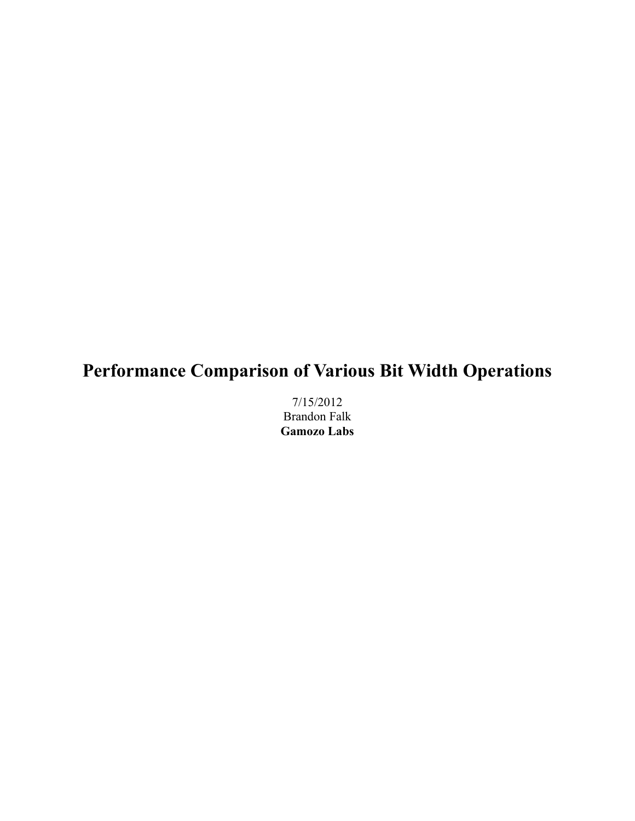# **Performance Comparison of Various Bit Width Operations**

7/15/2012 Brandon Falk **Gamozo Labs**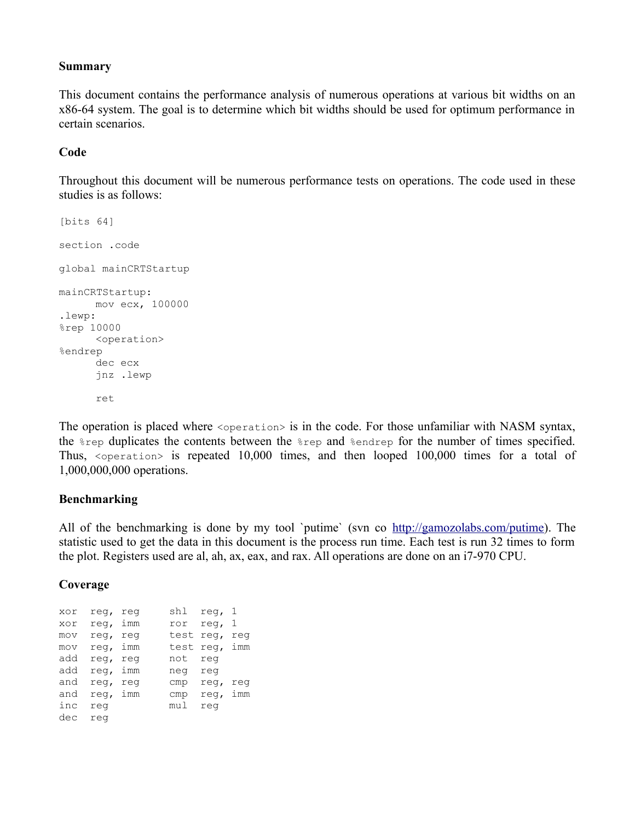#### **Summary**

This document contains the performance analysis of numerous operations at various bit widths on an x86-64 system. The goal is to determine which bit widths should be used for optimum performance in certain scenarios.

### **Code**

Throughout this document will be numerous performance tests on operations. The code used in these studies is as follows:

```
[bits 64]
section .code
global mainCRTStartup
mainCRTStartup:
    mov ecx, 100000
.lewp:
%rep 10000
     <operation>
%endrep
     dec ecx
     jnz .lewp
      ret
```
The operation is placed where  $\leq_{\text{operation}}$  is in the code. For those unfamiliar with NASM syntax, the %rep duplicates the contents between the %rep and %endrep for the number of times specified. Thus, <operation> is repeated 10,000 times, and then looped 100,000 times for a total of 1,000,000,000 operations.

#### **Benchmarking**

All of the benchmarking is done by my tool `putime` (svn co [http://gamozolabs.com/putime\)](http://gamozolabs.com/putime). The statistic used to get the data in this document is the process run time. Each test is run 32 times to form the plot. Registers used are al, ah, ax, eax, and rax. All operations are done on an i7-970 CPU.

#### **Coverage**

| xor | req, req |     | shl       | reg, 1        |                |
|-----|----------|-----|-----------|---------------|----------------|
| xor | req, imm |     | ror       | req,          | $\overline{1}$ |
| mov | req,     | req | test req, |               | req            |
| mov | req, imm |     |           | test req, imm |                |
| add | req, req |     | not       | req           |                |
| add | req, imm |     | neg       | req           |                |
| and | req,     | rea | cmp       | req,          | req            |
| and | req, imm |     | cmp       | req,          | imm            |
| inc | req      |     | mul       | rea           |                |
| dec | rea      |     |           |               |                |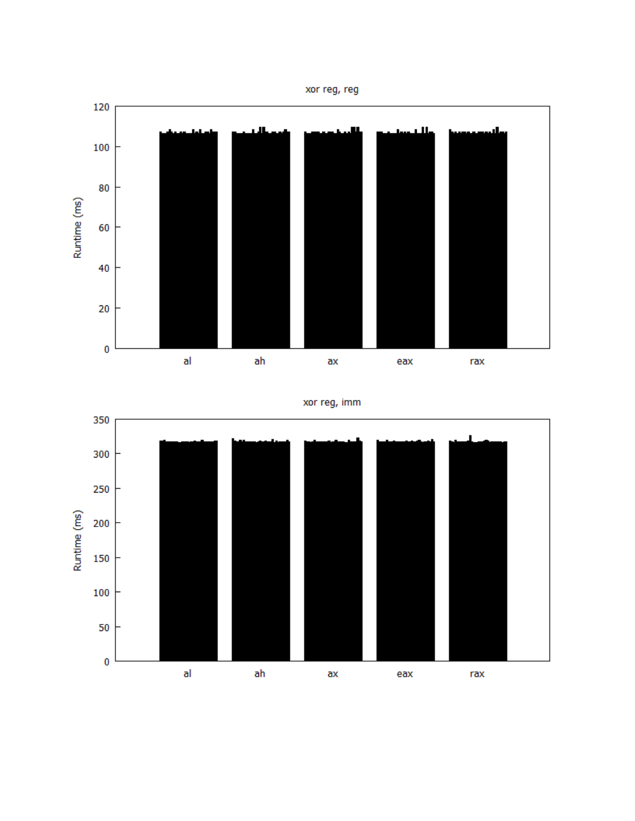



xor reg, imm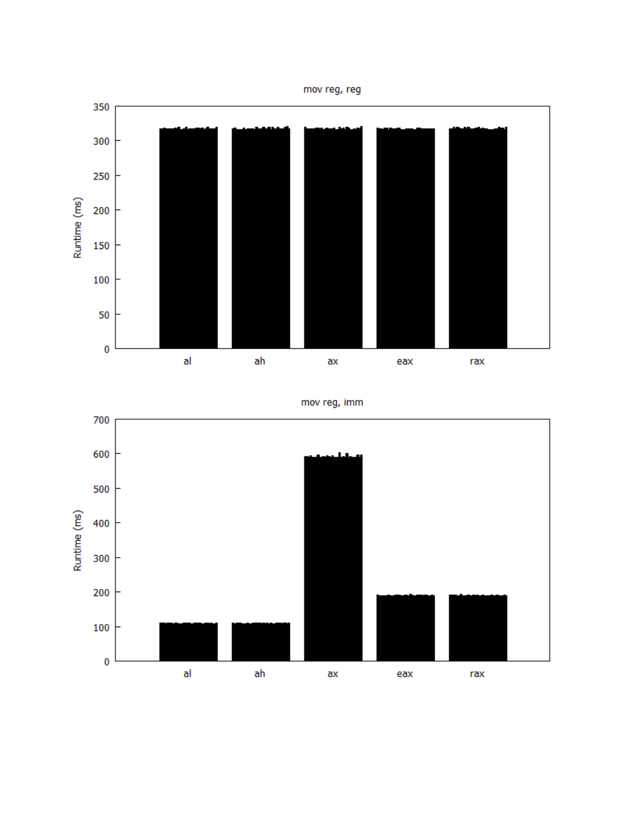



mov reg, imm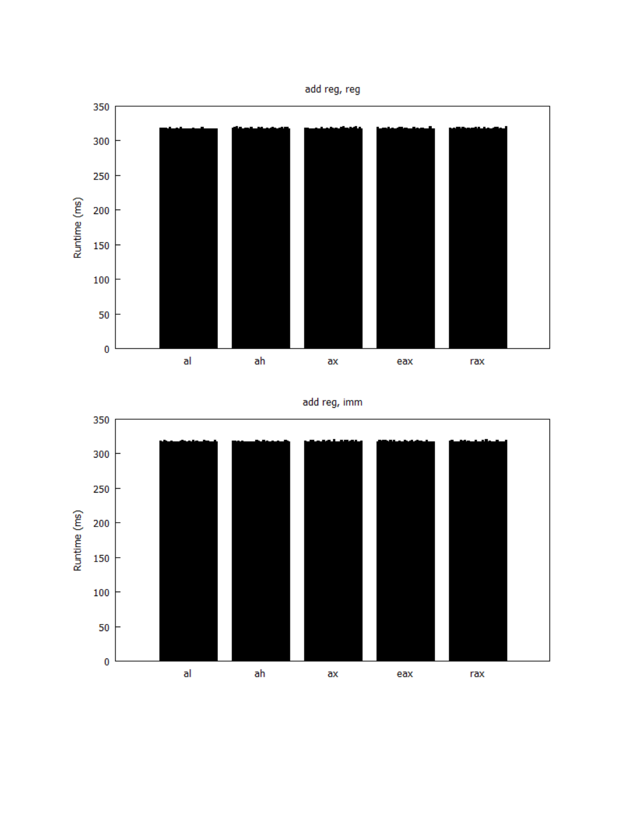



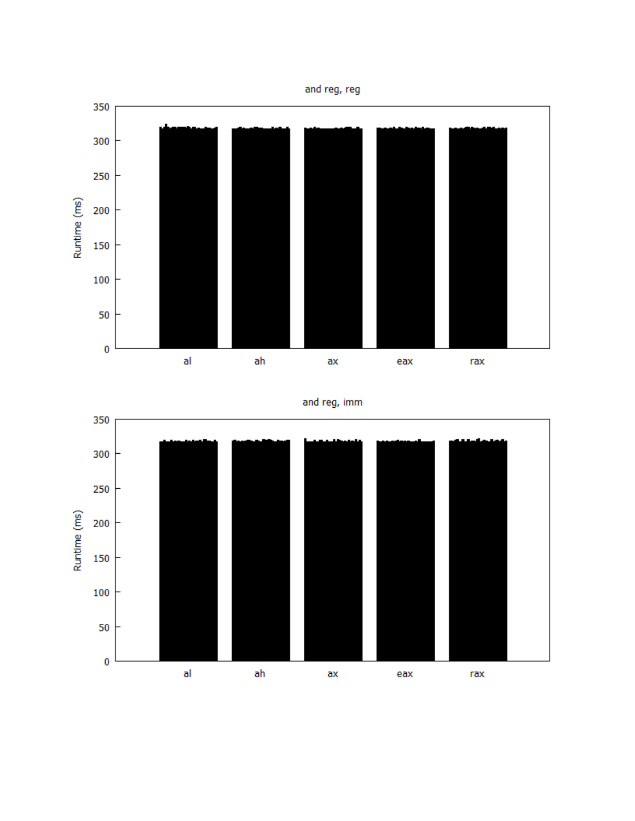



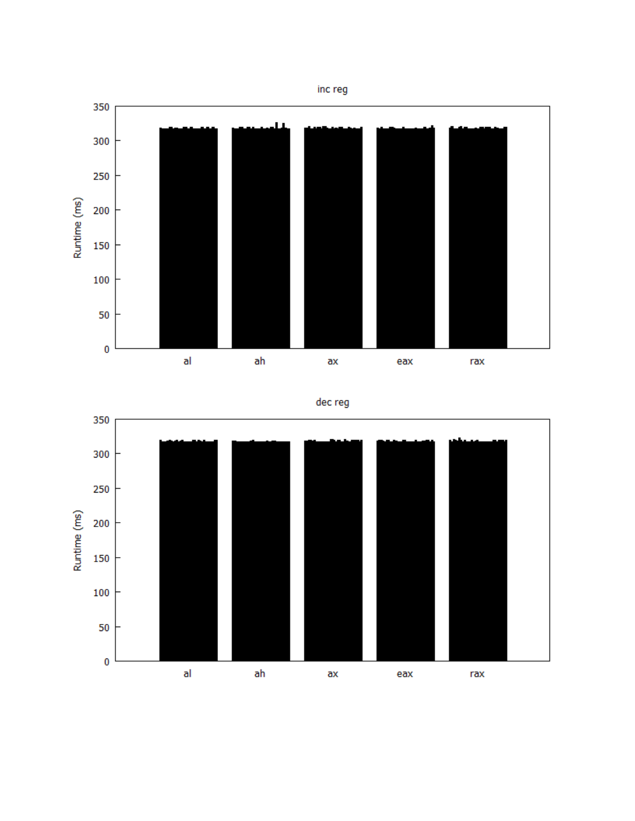

dec reg

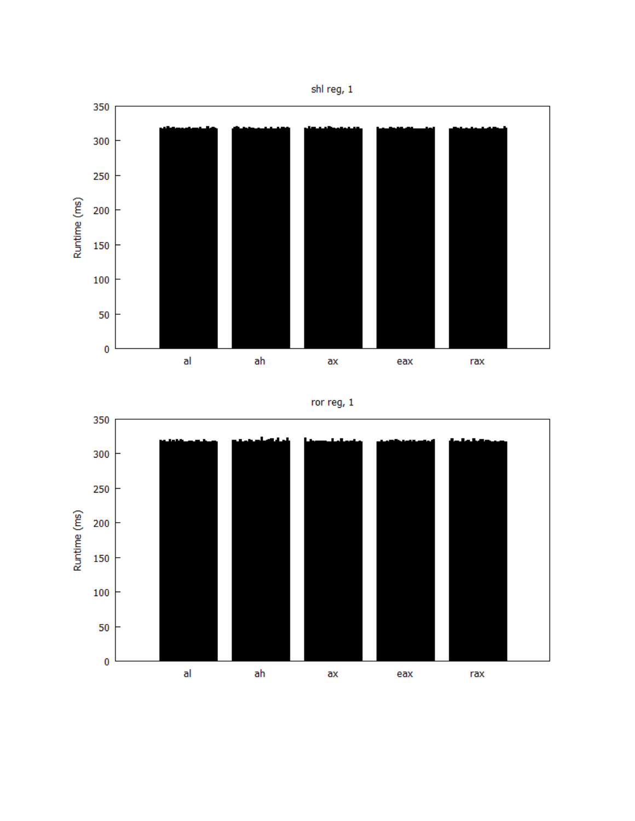

## ror reg, 1

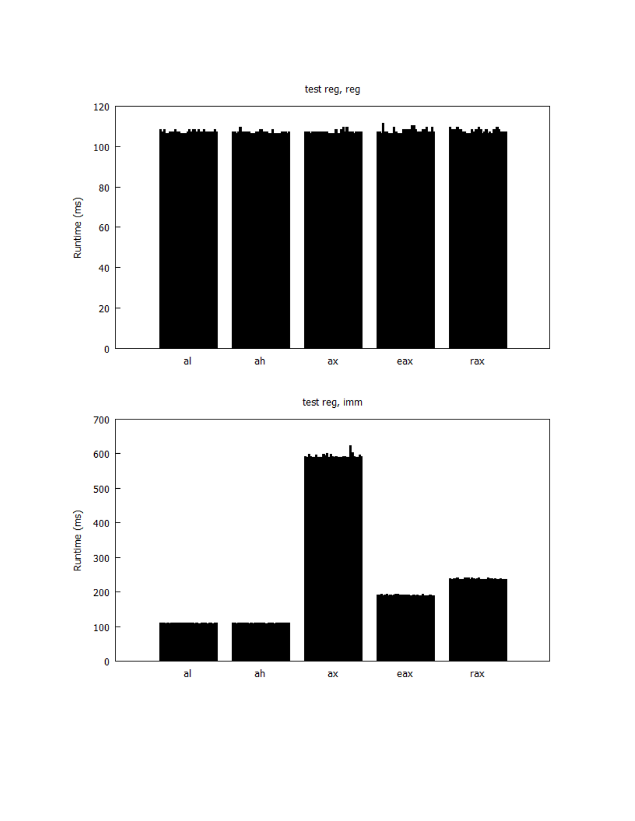



test reg, imm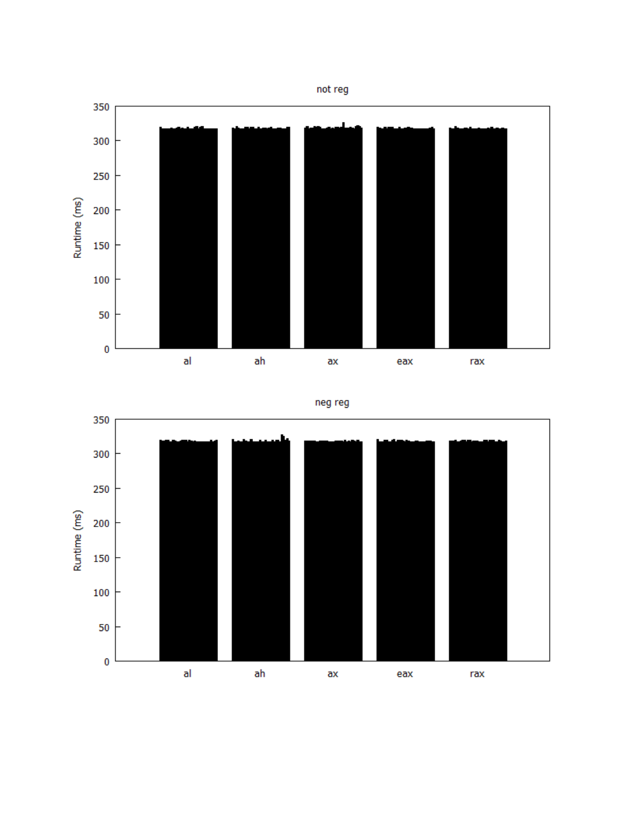

neg reg

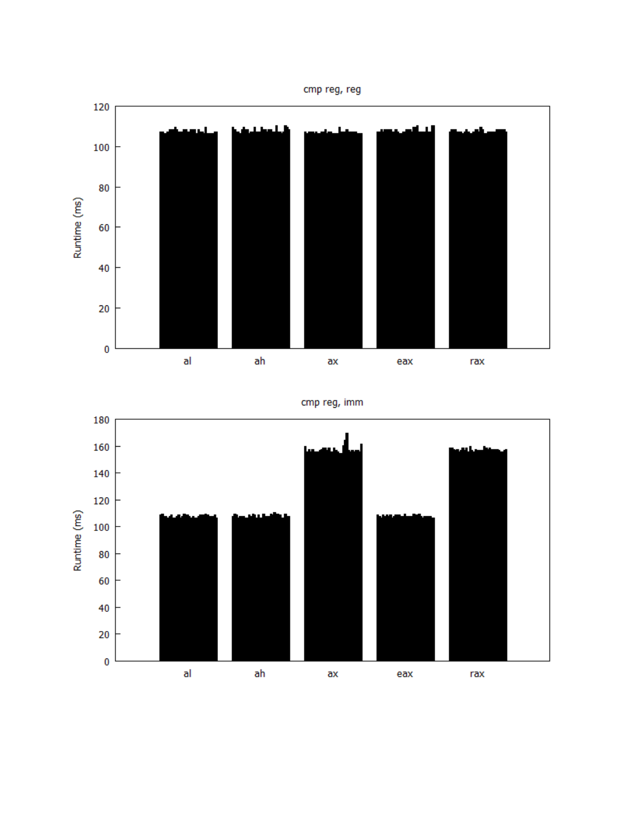



cmp reg, imm